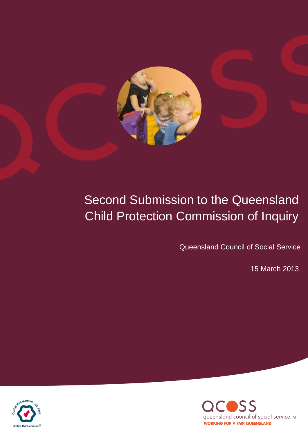

# Second Submission to the Queensland Child Protection Commission of Inquiry

Queensland Council of Social Service

15 March 2013 15 March 2013



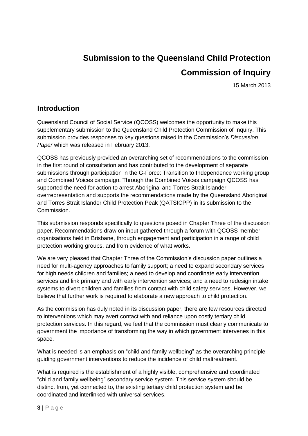## **Submission to the Queensland Child Protection Commission of Inquiry**

15 March 2013

## **Introduction**

Queensland Council of Social Service (QCOSS) welcomes the opportunity to make this supplementary submission to the Queensland Child Protection Commission of Inquiry. This submission provides responses to key questions raised in the Commission"s *Discussion Paper* which was released in February 2013.

QCOSS has previously provided an overarching set of recommendations to the commission in the first round of consultation and has contributed to the development of separate submissions through participation in the G-Force: Transition to Independence working group and Combined Voices campaign. Through the Combined Voices campaign QCOSS has supported the need for action to arrest Aboriginal and Torres Strait Islander overrepresentation and supports the recommendations made by the Queensland Aboriginal and Torres Strait Islander Child Protection Peak (QATSICPP) in its submission to the Commission.

This submission responds specifically to questions posed in Chapter Three of the discussion paper. Recommendations draw on input gathered through a forum with QCOSS member organisations held in Brisbane, through engagement and participation in a range of child protection working groups, and from evidence of what works.

We are very pleased that Chapter Three of the Commission"s discussion paper outlines a need for multi-agency approaches to family support; a need to expand secondary services for high needs children and families; a need to develop and coordinate early intervention services and link primary and with early intervention services; and a need to redesign intake systems to divert children and families from contact with child safety services. However, we believe that further work is required to elaborate a new approach to child protection.

As the commission has duly noted in its discussion paper, there are few resources directed to interventions which may avert contact with and reliance upon costly tertiary child protection services. In this regard, we feel that the commission must clearly communicate to government the importance of transforming the way in which government intervenes in this space.

What is needed is an emphasis on "child and family wellbeing" as the overarching principle guiding government interventions to reduce the incidence of child maltreatment.

What is required is the establishment of a highly visible, comprehensive and coordinated "child and family wellbeing" secondary service system. This service system should be distinct from, yet connected to, the existing tertiary child protection system and be coordinated and interlinked with universal services.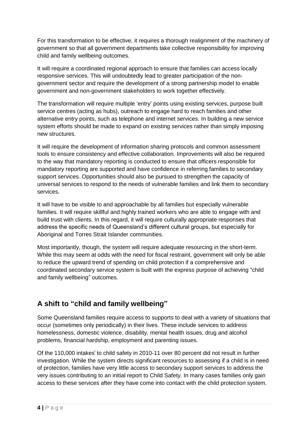For this transformation to be effective, it requires a thorough realignment of the machinery of government so that all government departments take collective responsibility for improving child and family wellbeing outcomes.

It will require a coordinated regional approach to ensure that families can access locally responsive services. This will undoubtedly lead to greater participation of the nongovernment sector and require the development of a strong partnership model to enable government and non-government stakeholders to work together effectively.

The transformation will require multiple "entry" points using existing services, purpose built service centres (acting as hubs), outreach to engage hard to reach families and other alternative entry points, such as telephone and internet services. In building a new service system efforts should be made to expand on existing services rather than simply imposing new structures.

It will require the development of information sharing protocols and common assessment tools to ensure consistency and effective collaboration. Improvements will also be required to the way that mandatory reporting is conducted to ensure that officers responsible for mandatory reporting are supported and have confidence in referring families to secondary support services. Opportunities should also be pursued to strengthen the capacity of universal services to respond to the needs of vulnerable families and link them to secondary services.

It will have to be visible to and approachable by all families but especially vulnerable families. It will require skillful and highly trained workers who are able to engage with and build trust with clients. In this regard, it will require culturally appropriate responses that address the specific needs of Queensland"s different cultural groups, but especially for Aboriginal and Torres Strait Islander communities.

Most importantly, though, the system will require adequate resourcing in the short-term. While this may seem at odds with the need for fiscal restraint, government will only be able to reduce the upward trend of spending on child protection if a comprehensive and coordinated secondary service system is built with the express purpose of achieving "child and family wellbeing" outcomes.

## **A shift to "child and family wellbeing"**

Some Queensland families require access to supports to deal with a variety of situations that occur (sometimes only periodically) in their lives. These include services to address homelessness, domestic violence, disability, mental health issues, drug and alcohol problems, financial hardship, employment and parenting issues.

Of the 110,000 intakes<sup>i</sup> to child safety in 2010-11 over 80 percent did not result in further investigation. While the system directs significant resources to assessing if a child is in need of protection, families have very little access to secondary support services to address the very issues contributing to an initial report to Child Safety. In many cases families only gain access to these services after they have come into contact with the child protection system.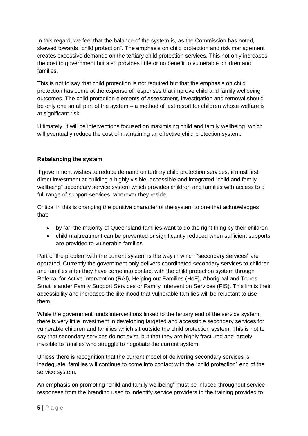In this regard, we feel that the balance of the system is, as the Commission has noted, skewed towards "child protection". The emphasis on child protection and risk management creates excessive demands on the tertiary child protection services. This not only increases the cost to government but also provides little or no benefit to vulnerable children and families.

This is not to say that child protection is not required but that the emphasis on child protection has come at the expense of responses that improve child and family wellbeing outcomes. The child protection elements of assessment, investigation and removal should be only one small part of the system – a method of last resort for children whose welfare is at significant risk.

Ultimately, it will be interventions focused on maximising child and family wellbeing, which will eventually reduce the cost of maintaining an effective child protection system.

## **Rebalancing the system**

If government wishes to reduce demand on tertiary child protection services, it must first direct investment at building a highly visible, accessible and integrated "child and family wellbeing" secondary service system which provides children and families with access to a full range of support services, wherever they reside.

Critical in this is changing the punitive character of the system to one that acknowledges that:

- by far, the majority of Queensland families want to do the right thing by their children
- child maltreatment can be prevented or significantly reduced when sufficient supports are provided to vulnerable families.

Part of the problem with the current system is the way in which "secondary services" are operated. Currently the government only delivers coordinated secondary services to children and families after they have come into contact with the child protection system through Referral for Active Intervention (RAI), Helping out Families (HoF), Aboriginal and Torres Strait Islander Family Support Services or Family Intervention Services (FIS). This limits their accessibility and increases the likelihood that vulnerable families will be reluctant to use them.

While the government funds interventions linked to the tertiary end of the service system, there is very little investment in developing targeted and accessible secondary services for vulnerable children and families which sit outside the child protection system. This is not to say that secondary services do not exist, but that they are highly fractured and largely invisible to families who struggle to negotiate the current system.

Unless there is recognition that the current model of delivering secondary services is inadequate, families will continue to come into contact with the "child protection" end of the service system.

An emphasis on promoting "child and family wellbeing" must be infused throughout service responses from the branding used to indentify service providers to the training provided to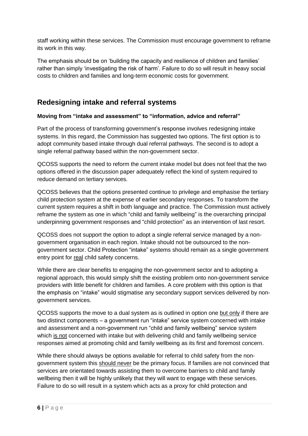staff working within these services. The Commission must encourage government to reframe its work in this way.

The emphasis should be on "building the capacity and resilience of children and families" rather than simply "investigating the risk of harm". Failure to do so will result in heavy social costs to children and families and long-term economic costs for government.

## **Redesigning intake and referral systems**

## **Moving from "intake and assessment" to "information, advice and referral"**

Part of the process of transforming government"s response involves redesigning intake systems. In this regard, the Commission has suggested two options. The first option is to adopt community based intake through dual referral pathways. The second is to adopt a single referral pathway based within the non-government sector.

QCOSS supports the need to reform the current intake model but does not feel that the two options offered in the discussion paper adequately reflect the kind of system required to reduce demand on tertiary services.

QCOSS believes that the options presented continue to privilege and emphasise the tertiary child protection system at the expense of earlier secondary responses. To transform the current system requires a shift in both language and practice. The Commission must actively reframe the system as one in which "child and family wellbeing" is the overarching principal underpinning government responses and "child protection" as an intervention of last resort.

QCOSS does not support the option to adopt a single referral service managed by a nongovernment organisation in each region. Intake should not be outsourced to the nongovernment sector. Child Protection "intake" systems should remain as a single government entry point for real child safety concerns.

While there are clear benefits to engaging the non-government sector and to adopting a regional approach, this would simply shift the existing problem onto non-government service providers with little benefit for children and families. A core problem with this option is that the emphasis on "intake" would stigmatise any secondary support services delivered by nongovernment services.

QCOSS supports the move to a dual system as is outlined in option one but only if there are two distinct components – a government run "intake" service system concerned with intake and assessment and a non-government run "child and family wellbeing" service system which is not concerned with intake but with delivering child and family wellbeing service responses aimed at promoting child and family wellbeing as its first and foremost concern.

While there should always be options available for referral to child safety from the nongovernment system this should never be the primary focus. If families are not convinced that services are orientated towards assisting them to overcome barriers to child and family wellbeing then it will be highly unlikely that they will want to engage with these services. Failure to do so will result in a system which acts as a proxy for child protection and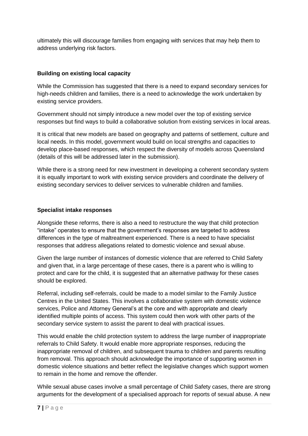ultimately this will discourage families from engaging with services that may help them to address underlying risk factors.

### **Building on existing local capacity**

While the Commission has suggested that there is a need to expand secondary services for high-needs children and families, there is a need to acknowledge the work undertaken by existing service providers.

Government should not simply introduce a new model over the top of existing service responses but find ways to build a collaborative solution from existing services in local areas.

It is critical that new models are based on geography and patterns of settlement, culture and local needs. In this model, government would build on local strengths and capacities to develop place-based responses, which respect the diversity of models across Queensland (details of this will be addressed later in the submission).

While there is a strong need for new investment in developing a coherent secondary system it is equally important to work with existing service providers and coordinate the delivery of existing secondary services to deliver services to vulnerable children and families.

#### **Specialist intake responses**

Alongside these reforms, there is also a need to restructure the way that child protection "intake" operates to ensure that the government"s responses are targeted to address differences in the type of maltreatment experienced. There is a need to have specialist responses that address allegations related to domestic violence and sexual abuse.

Given the large number of instances of domestic violence that are referred to Child Safety and given that, in a large percentage of these cases, there is a parent who is willing to protect and care for the child, it is suggested that an alternative pathway for these cases should be explored.

Referral, including self-referrals, could be made to a model similar to the Family Justice Centres in the United States. This involves a collaborative system with domestic violence services, Police and Attorney General's at the core and with appropriate and clearly identified multiple points of access. This system could then work with other parts of the secondary service system to assist the parent to deal with practical issues.

This would enable the child protection system to address the large number of inappropriate referrals to Child Safety. It would enable more appropriate responses, reducing the inappropriate removal of children, and subsequent trauma to children and parents resulting from removal. This approach should acknowledge the importance of supporting women in domestic violence situations and better reflect the legislative changes which support women to remain in the home and remove the offender.

While sexual abuse cases involve a small percentage of Child Safety cases, there are strong arguments for the development of a specialised approach for reports of sexual abuse. A new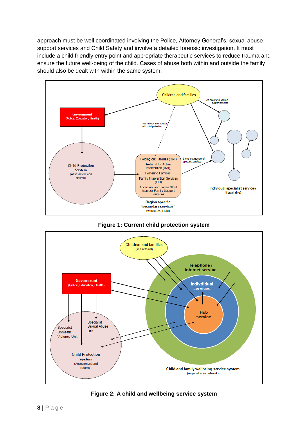approach must be well coordinated involving the Police, Attorney General's, sexual abuse support services and Child Safety and involve a detailed forensic investigation. It must include a child friendly entry point and appropriate therapeutic services to reduce trauma and ensure the future well-being of the child. Cases of abuse both within and outside the family should also be dealt with within the same system.







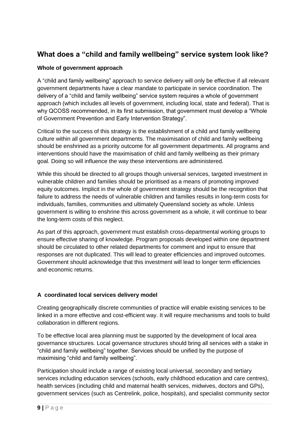## **What does a "child and family wellbeing" service system look like?**

## **Whole of government approach**

A "child and family wellbeing" approach to service delivery will only be effective if all relevant government departments have a clear mandate to participate in service coordination. The delivery of a "child and family wellbeing" service system requires a whole of government approach (which includes all levels of government, including local, state and federal). That is why QCOSS recommended, in its first submission, that government must develop a "Whole of Government Prevention and Early Intervention Strategy".

Critical to the success of this strategy is the establishment of a child and family wellbeing culture within all government departments. The maximisation of child and family wellbeing should be enshrined as a priority outcome for all government departments. All programs and interventions should have the maximisation of child and family wellbeing as their primary goal. Doing so will influence the way these interventions are administered.

While this should be directed to all groups though universal services, targeted investment in vulnerable children and families should be prioritised as a means of promoting improved equity outcomes. Implicit in the whole of government strategy should be the recognition that failure to address the needs of vulnerable children and families results in long-term costs for individuals, families, communities and ultimately Queensland society as whole. Unless government is willing to enshrine this across government as a whole, it will continue to bear the long-term costs of this neglect.

As part of this approach, government must establish cross-departmental working groups to ensure effective sharing of knowledge. Program proposals developed within one department should be circulated to other related departments for comment and input to ensure that responses are not duplicated. This will lead to greater efficiencies and improved outcomes. Government should acknowledge that this investment will lead to longer term efficiencies and economic returns.

## **A coordinated local services delivery model**

Creating geographically discrete communities of practice will enable existing services to be linked in a more effective and cost-efficient way. It will require mechanisms and tools to build collaboration in different regions.

To be effective local area planning must be supported by the development of local area governance structures. Local governance structures should bring all services with a stake in "child and family wellbeing" together. Services should be unified by the purpose of maximising "child and family wellbeing".

Participation should include a range of existing local universal, secondary and tertiary services including education services (schools, early childhood education and care centres), health services (including child and maternal health services, midwives, doctors and GPs), government services (such as Centrelink, police, hospitals), and specialist community sector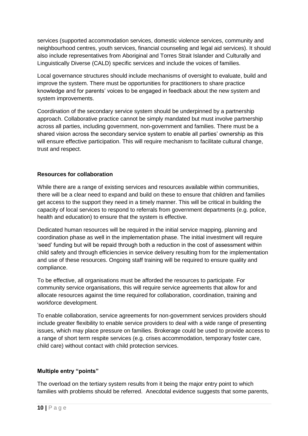services (supported accommodation services, domestic violence services, community and neighbourhood centres, youth services, financial counseling and legal aid services). It should also include representatives from Aboriginal and Torres Strait Islander and Culturally and Linguistically Diverse (CALD) specific services and include the voices of families.

Local governance structures should include mechanisms of oversight to evaluate, build and improve the system. There must be opportunities for practitioners to share practice knowledge and for parents" voices to be engaged in feedback about the new system and system improvements.

Coordination of the secondary service system should be underpinned by a partnership approach. Collaborative practice cannot be simply mandated but must involve partnership across all parties, including government, non-government and families. There must be a shared vision across the secondary service system to enable all parties" ownership as this will ensure effective participation. This will require mechanism to facilitate cultural change, trust and respect.

## **Resources for collaboration**

While there are a range of existing services and resources available within communities, there will be a clear need to expand and build on these to ensure that children and families get access to the support they need in a timely manner. This will be critical in building the capacity of local services to respond to referrals from government departments (e.g. police, health and education) to ensure that the system is effective.

Dedicated human resources will be required in the initial service mapping, planning and coordination phase as well in the implementation phase. The initial investment will require "seed" funding but will be repaid through both a reduction in the cost of assessment within child safety and through efficiencies in service delivery resulting from for the implementation and use of these resources. Ongoing staff training will be required to ensure quality and compliance.

To be effective, all organisations must be afforded the resources to participate. For community service organisations, this will require service agreements that allow for and allocate resources against the time required for collaboration, coordination, training and workforce development.

To enable collaboration, service agreements for non-government services providers should include greater flexibility to enable service providers to deal with a wide range of presenting issues, which may place pressure on families. Brokerage could be used to provide access to a range of short term respite services (e.g. crises accommodation, temporary foster care, child care) without contact with child protection services.

#### **Multiple entry "points"**

The overload on the tertiary system results from it being the major entry point to which families with problems should be referred. Anecdotal evidence suggests that some parents,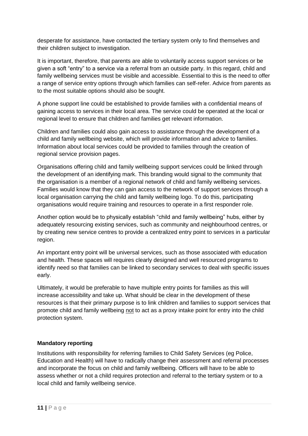desperate for assistance, have contacted the tertiary system only to find themselves and their children subject to investigation.

It is important, therefore, that parents are able to voluntarily access support services or be given a soft "entry" to a service via a referral from an outside party. In this regard, child and family wellbeing services must be visible and accessible. Essential to this is the need to offer a range of service entry options through which families can self-refer. Advice from parents as to the most suitable options should also be sought.

A phone support line could be established to provide families with a confidential means of gaining access to services in their local area. The service could be operated at the local or regional level to ensure that children and families get relevant information.

Children and families could also gain access to assistance through the development of a child and family wellbeing website, which will provide information and advice to families. Information about local services could be provided to families through the creation of regional service provision pages.

Organisations offering child and family wellbeing support services could be linked through the development of an identifying mark. This branding would signal to the community that the organisation is a member of a regional network of child and family wellbeing services. Families would know that they can gain access to the network of support services through a local organisation carrying the child and family wellbeing logo. To do this, participating organisations would require training and resources to operate in a first responder role.

Another option would be to physically establish "child and family wellbeing" hubs, either by adequately resourcing existing services, such as community and neighbourhood centres, or by creating new service centres to provide a centralized entry point to services in a particular region.

An important entry point will be universal services, such as those associated with education and health. These spaces will requires clearly designed and well resourced programs to identify need so that families can be linked to secondary services to deal with specific issues early.

Ultimately, it would be preferable to have multiple entry points for families as this will increase accessibility and take up. What should be clear in the development of these resources is that their primary purpose is to link children and families to support services that promote child and family wellbeing not to act as a proxy intake point for entry into the child protection system.

#### **Mandatory reporting**

Institutions with responsibility for referring families to Child Safety Services (eg Police, Education and Health) will have to radically change their assessment and referral processes and incorporate the focus on child and family wellbeing. Officers will have to be able to assess whether or not a child requires protection and referral to the tertiary system or to a local child and family wellbeing service.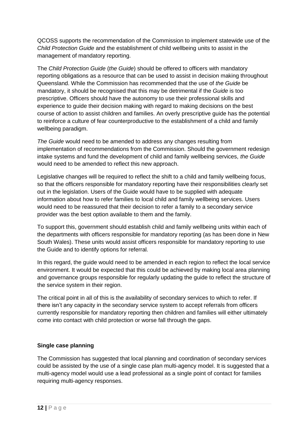QCOSS supports the recommendation of the Commission to implement statewide use of the *Child Protection Guide* and the establishment of child wellbeing units to assist in the management of mandatory reporting.

The *Child Protection Guide* (*the Guide*) should be offered to officers with mandatory reporting obligations as a resource that can be used to assist in decision making throughout Queensland. While the Commission has recommended that the use of *the Guide* be mandatory, it should be recognised that this may be detrimental if the *Guide* is too prescriptive. Officers should have the autonomy to use their professional skills and experience to guide their decision making with regard to making decisions on the best course of action to assist children and families. An overly prescriptive guide has the potential to reinforce a culture of fear counterproductive to the establishment of a child and family wellbeing paradigm.

*The Guide* would need to be amended to address any changes resulting from implementation of recommendations from the Commission. Should the government redesign intake systems and fund the development of child and family wellbeing services, *the Guide* would need to be amended to reflect this new approach.

Legislative changes will be required to reflect the shift to a child and family wellbeing focus, so that the officers responsible for mandatory reporting have their responsibilities clearly set out in the legislation. Users of the Guide would have to be supplied with adequate information about how to refer families to local child and family wellbeing services. Users would need to be reassured that their decision to refer a family to a secondary service provider was the best option available to them and the family.

To support this, government should establish child and family wellbeing units within each of the departments with officers responsible for mandatory reporting (as has been done in New South Wales). These units would assist officers responsible for mandatory reporting to use the Guide and to identify options for referral.

In this regard, the guide would need to be amended in each region to reflect the local service environment. It would be expected that this could be achieved by making local area planning and governance groups responsible for regularly updating the guide to reflect the structure of the service system in their region.

The critical point in all of this is the availability of secondary services to which to refer. If there isn"t any capacity in the secondary service system to accept referrals from officers currently responsible for mandatory reporting then children and families will either ultimately come into contact with child protection or worse fall through the gaps.

#### **Single case planning**

The Commission has suggested that local planning and coordination of secondary services could be assisted by the use of a single case plan multi-agency model. It is suggested that a multi-agency model would use a lead professional as a single point of contact for families requiring multi-agency responses.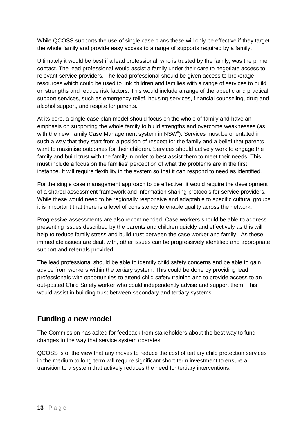While QCOSS supports the use of single case plans these will only be effective if they target the whole family and provide easy access to a range of supports required by a family.

Ultimately it would be best if a lead professional, who is trusted by the family, was the prime contact. The lead professional would assist a family under their care to negotiate access to relevant service providers. The lead professional should be given access to brokerage resources which could be used to link children and families with a range of services to build on strengths and reduce risk factors. This would include a range of therapeutic and practical support services, such as emergency relief, housing services, financial counseling, drug and alcohol support, and respite for parents.

At its core, a single case plan model should focus on the whole of family and have an emphasis on supporting the whole family to build strengths and overcome weaknesses (as with the new Family Case Management system in NSW<sup>ii</sup>). Services must be orientated in such a way that they start from a position of respect for the family and a belief that parents want to maximise outcomes for their children. Services should actively work to engage the family and build trust with the family in order to best assist them to meet their needs. This must include a focus on the families" perception of what the problems are in the first instance. It will require flexibility in the system so that it can respond to need as identified.

For the single case management approach to be effective, it would require the development of a shared assessment framework and information sharing protocols for service providers. While these would need to be regionally responsive and adaptable to specific cultural groups it is important that there is a level of consistency to enable quality across the network.

Progressive assessments are also recommended. Case workers should be able to address presenting issues described by the parents and children quickly and effectively as this will help to reduce family stress and build trust between the case worker and family. As these immediate issues are dealt with, other issues can be progressively identified and appropriate support and referrals provided.

The lead professional should be able to identify child safety concerns and be able to gain advice from workers within the tertiary system. This could be done by providing lead professionals with opportunities to attend child safety training and to provide access to an out-posted Child Safety worker who could independently advise and support them. This would assist in building trust between secondary and tertiary systems.

## **Funding a new model**

The Commission has asked for feedback from stakeholders about the best way to fund changes to the way that service system operates.

QCOSS is of the view that any moves to reduce the cost of tertiary child protection services in the medium to long-term will require significant short-term investment to ensure a transition to a system that actively reduces the need for tertiary interventions.